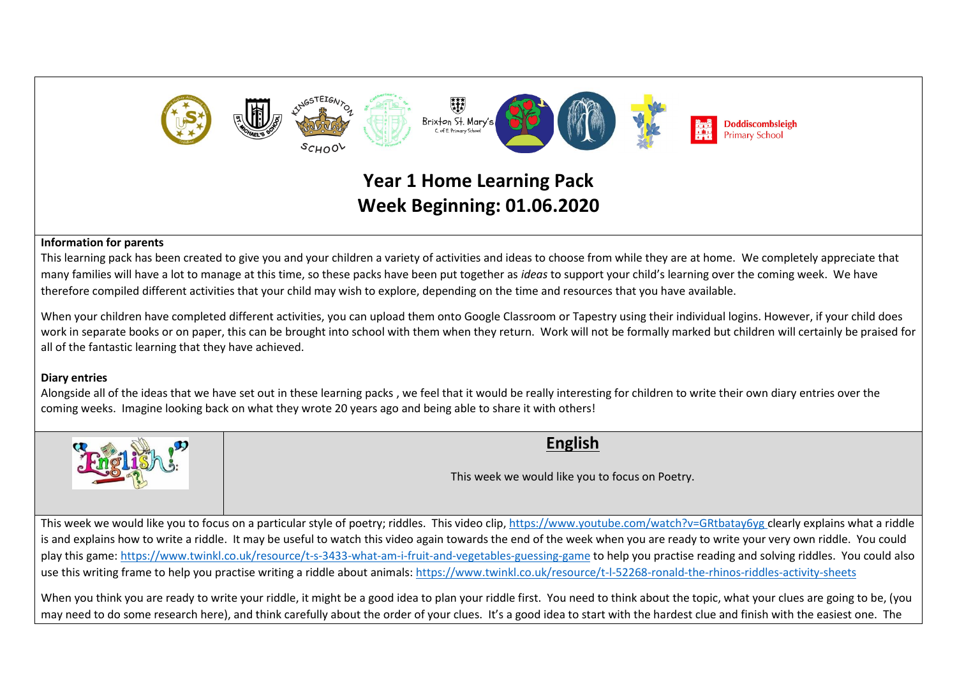

# **Year 1 Home Learning Pack Week Beginning: 01.06.2020**

#### **Information for parents**

This learning pack has been created to give you and your children a variety of activities and ideas to choose from while they are at home. We completely appreciate that many families will have a lot to manage at this time, so these packs have been put together as *ideas* to support your child's learning over the coming week. We have therefore compiled different activities that your child may wish to explore, depending on the time and resources that you have available.

When your children have completed different activities, you can upload them onto Google Classroom or Tapestry using their individual logins. However, if your child does work in separate books or on paper, this can be brought into school with them when they return. Work will not be formally marked but children will certainly be praised for all of the fantastic learning that they have achieved.

#### **Diary entries**

Alongside all of the ideas that we have set out in these learning packs , we feel that it would be really interesting for children to write their own diary entries over the coming weeks. Imagine looking back on what they wrote 20 years ago and being able to share it with others!



## **English**

This week we would like you to focus on Poetry.

This week we would like you to focus on a particular style of poetry; riddles. This video clip,<https://www.youtube.com/watch?v=GRtbatay6yg> clearly explains what a riddle is and explains how to write a riddle. It may be useful to watch this video again towards the end of the week when you are ready to write your very own riddle. You could play this game: <https://www.twinkl.co.uk/resource/t-s-3433-what-am-i-fruit-and-vegetables-guessing-game> to help you practise reading and solving riddles. You could also use this writing frame to help you practise writing a riddle about animals: <https://www.twinkl.co.uk/resource/t-l-52268-ronald-the-rhinos-riddles-activity-sheets>

When you think you are ready to write your riddle, it might be a good idea to plan your riddle first. You need to think about the topic, what your clues are going to be, (you may need to do some research here), and think carefully about the order of your clues. It's a good idea to start with the hardest clue and finish with the easiest one. The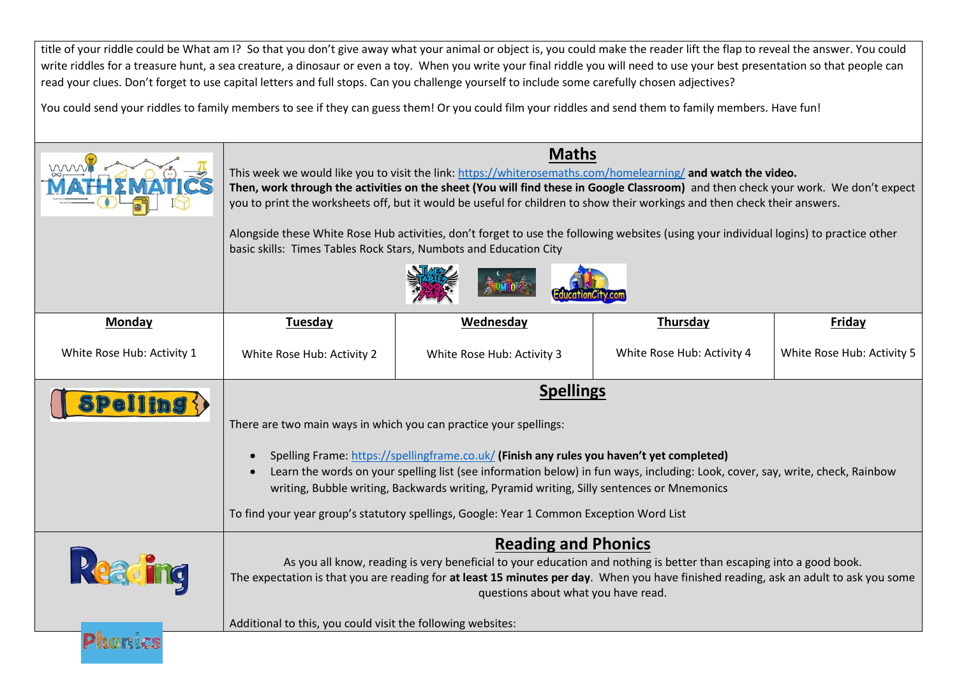title of your riddle could be What am I? So that you don't give away what your animal or object is, you could make the reader lift the flap to reveal the answer. You could write riddles for a treasure hunt, a sea creature, a dinosaur or even a toy. When you write your final riddle you will need to use your best presentation so that people can read your clues. Don't forget to use capital letters and full stops. Can you challenge yourself to include some carefully chosen adjectives?

You could send your riddles to family members to see if they can guess them! Or you could film your riddles and send them to family members. Have fun!

|                                                           | <b>Maths</b><br>This week we would like you to visit the link: https://whiterosemaths.com/homelearning/ and watch the video.<br>Then, work through the activities on the sheet (You will find these in Google Classroom) and then check your work. We don't expect<br>you to print the worksheets off, but it would be useful for children to show their workings and then check their answers.<br>Alongside these White Rose Hub activities, don't forget to use the following websites (using your individual logins) to practice other<br>basic skills: Times Tables Rock Stars, Numbots and Education City |                            |                            |                            |
|-----------------------------------------------------------|----------------------------------------------------------------------------------------------------------------------------------------------------------------------------------------------------------------------------------------------------------------------------------------------------------------------------------------------------------------------------------------------------------------------------------------------------------------------------------------------------------------------------------------------------------------------------------------------------------------|----------------------------|----------------------------|----------------------------|
| Monday                                                    | Wednesday<br>Thursday<br>Friday<br>Tuesday                                                                                                                                                                                                                                                                                                                                                                                                                                                                                                                                                                     |                            |                            |                            |
| White Rose Hub: Activity 1                                | White Rose Hub: Activity 2                                                                                                                                                                                                                                                                                                                                                                                                                                                                                                                                                                                     | White Rose Hub: Activity 3 | White Rose Hub: Activity 4 | White Rose Hub: Activity 5 |
| $\textbf{P}\textbf{ell}\ln\textbf{g}\left\langle \right)$ | <b>Spellings</b><br>There are two main ways in which you can practice your spellings:<br>Spelling Frame: https://spellingframe.co.uk/ (Finish any rules you haven't yet completed)<br>Learn the words on your spelling list (see information below) in fun ways, including: Look, cover, say, write, check, Rainbow<br>writing, Bubble writing, Backwards writing, Pyramid writing, Silly sentences or Mnemonics<br>To find your year group's statutory spellings, Google: Year 1 Common Exception Word List                                                                                                   |                            |                            |                            |
| Readi                                                     | <b>Reading and Phonics</b><br>As you all know, reading is very beneficial to your education and nothing is better than escaping into a good book.<br>The expectation is that you are reading for at least 15 minutes per day. When you have finished reading, ask an adult to ask you some<br>questions about what you have read.                                                                                                                                                                                                                                                                              |                            |                            |                            |
| Phonic                                                    | Additional to this, you could visit the following websites:                                                                                                                                                                                                                                                                                                                                                                                                                                                                                                                                                    |                            |                            |                            |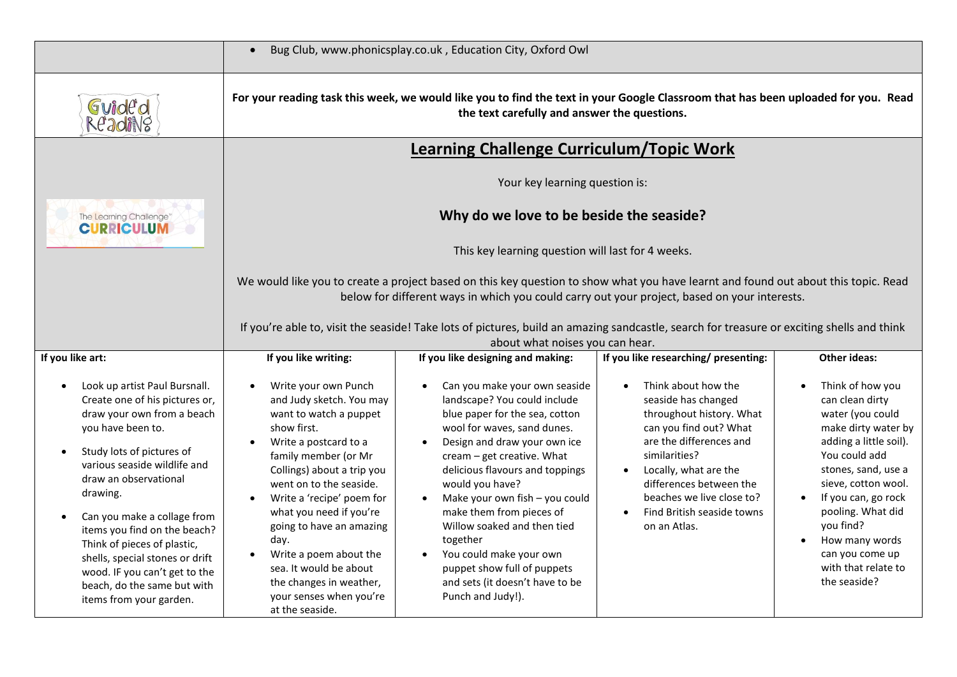|                                                                                                                                                                                                                                                                                                                                                                                                                                                  | $\bullet$                                                                                                                                                                                                                                                                                                                                                                                                                                                                        | Bug Club, www.phonicsplay.co.uk, Education City, Oxford Owl                                                                                                                                                                                                                                                                                                                                                                                                                   |                                                                                                                                                                                                                                                                             |                                                                                                                                                                                                                                                                                                              |
|--------------------------------------------------------------------------------------------------------------------------------------------------------------------------------------------------------------------------------------------------------------------------------------------------------------------------------------------------------------------------------------------------------------------------------------------------|----------------------------------------------------------------------------------------------------------------------------------------------------------------------------------------------------------------------------------------------------------------------------------------------------------------------------------------------------------------------------------------------------------------------------------------------------------------------------------|-------------------------------------------------------------------------------------------------------------------------------------------------------------------------------------------------------------------------------------------------------------------------------------------------------------------------------------------------------------------------------------------------------------------------------------------------------------------------------|-----------------------------------------------------------------------------------------------------------------------------------------------------------------------------------------------------------------------------------------------------------------------------|--------------------------------------------------------------------------------------------------------------------------------------------------------------------------------------------------------------------------------------------------------------------------------------------------------------|
| Guide'd<br>ReadiNg                                                                                                                                                                                                                                                                                                                                                                                                                               | For your reading task this week, we would like you to find the text in your Google Classroom that has been uploaded for you. Read<br>the text carefully and answer the questions.                                                                                                                                                                                                                                                                                                |                                                                                                                                                                                                                                                                                                                                                                                                                                                                               |                                                                                                                                                                                                                                                                             |                                                                                                                                                                                                                                                                                                              |
|                                                                                                                                                                                                                                                                                                                                                                                                                                                  | <b>Learning Challenge Curriculum/Topic Work</b>                                                                                                                                                                                                                                                                                                                                                                                                                                  |                                                                                                                                                                                                                                                                                                                                                                                                                                                                               |                                                                                                                                                                                                                                                                             |                                                                                                                                                                                                                                                                                                              |
|                                                                                                                                                                                                                                                                                                                                                                                                                                                  | Your key learning question is:                                                                                                                                                                                                                                                                                                                                                                                                                                                   |                                                                                                                                                                                                                                                                                                                                                                                                                                                                               |                                                                                                                                                                                                                                                                             |                                                                                                                                                                                                                                                                                                              |
| The Learning Challenge"<br><b>CURRICULUM</b>                                                                                                                                                                                                                                                                                                                                                                                                     | Why do we love to be beside the seaside?                                                                                                                                                                                                                                                                                                                                                                                                                                         |                                                                                                                                                                                                                                                                                                                                                                                                                                                                               |                                                                                                                                                                                                                                                                             |                                                                                                                                                                                                                                                                                                              |
|                                                                                                                                                                                                                                                                                                                                                                                                                                                  | This key learning question will last for 4 weeks.                                                                                                                                                                                                                                                                                                                                                                                                                                |                                                                                                                                                                                                                                                                                                                                                                                                                                                                               |                                                                                                                                                                                                                                                                             |                                                                                                                                                                                                                                                                                                              |
|                                                                                                                                                                                                                                                                                                                                                                                                                                                  | We would like you to create a project based on this key question to show what you have learnt and found out about this topic. Read<br>below for different ways in which you could carry out your project, based on your interests.                                                                                                                                                                                                                                               |                                                                                                                                                                                                                                                                                                                                                                                                                                                                               |                                                                                                                                                                                                                                                                             |                                                                                                                                                                                                                                                                                                              |
|                                                                                                                                                                                                                                                                                                                                                                                                                                                  | If you're able to, visit the seaside! Take lots of pictures, build an amazing sandcastle, search for treasure or exciting shells and think                                                                                                                                                                                                                                                                                                                                       |                                                                                                                                                                                                                                                                                                                                                                                                                                                                               |                                                                                                                                                                                                                                                                             |                                                                                                                                                                                                                                                                                                              |
| If you like art:                                                                                                                                                                                                                                                                                                                                                                                                                                 | about what noises you can hear.<br>If you like researching/ presenting:<br>If you like writing:<br>If you like designing and making:<br><b>Other ideas:</b>                                                                                                                                                                                                                                                                                                                      |                                                                                                                                                                                                                                                                                                                                                                                                                                                                               |                                                                                                                                                                                                                                                                             |                                                                                                                                                                                                                                                                                                              |
| Look up artist Paul Bursnall.<br>Create one of his pictures or,<br>draw your own from a beach<br>you have been to.<br>Study lots of pictures of<br>various seaside wildlife and<br>draw an observational<br>drawing.<br>Can you make a collage from<br>items you find on the beach?<br>Think of pieces of plastic,<br>shells, special stones or drift<br>wood. IF you can't get to the<br>beach, do the same but with<br>items from your garden. | Write your own Punch<br>$\bullet$<br>and Judy sketch. You may<br>want to watch a puppet<br>show first.<br>Write a postcard to a<br>$\bullet$<br>family member (or Mr<br>Collings) about a trip you<br>went on to the seaside.<br>Write a 'recipe' poem for<br>$\bullet$<br>what you need if you're<br>going to have an amazing<br>day.<br>Write a poem about the<br>$\bullet$<br>sea. It would be about<br>the changes in weather,<br>your senses when you're<br>at the seaside. | Can you make your own seaside<br>landscape? You could include<br>blue paper for the sea, cotton<br>wool for waves, sand dunes.<br>Design and draw your own ice<br>cream - get creative. What<br>delicious flavours and toppings<br>would you have?<br>Make your own fish - you could<br>make them from pieces of<br>Willow soaked and then tied<br>together<br>You could make your own<br>puppet show full of puppets<br>and sets (it doesn't have to be<br>Punch and Judy!). | Think about how the<br>seaside has changed<br>throughout history. What<br>can you find out? What<br>are the differences and<br>similarities?<br>Locally, what are the<br>differences between the<br>beaches we live close to?<br>Find British seaside towns<br>on an Atlas. | Think of how you<br>can clean dirty<br>water (you could<br>make dirty water by<br>adding a little soil).<br>You could add<br>stones, sand, use a<br>sieve, cotton wool.<br>If you can, go rock<br>pooling. What did<br>you find?<br>How many words<br>can you come up<br>with that relate to<br>the seaside? |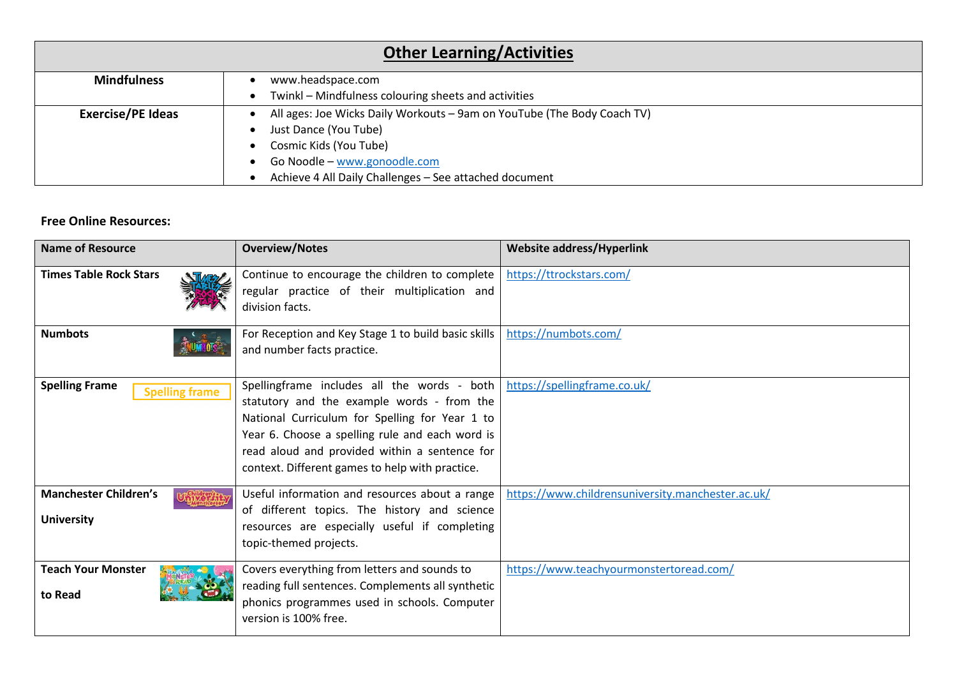| <b>Other Learning/Activities</b> |                                                                         |  |  |
|----------------------------------|-------------------------------------------------------------------------|--|--|
| <b>Mindfulness</b>               | www.headspace.com                                                       |  |  |
|                                  | Twinkl – Mindfulness colouring sheets and activities<br>$\bullet$       |  |  |
| <b>Exercise/PE Ideas</b>         | All ages: Joe Wicks Daily Workouts - 9am on YouTube (The Body Coach TV) |  |  |
|                                  | Just Dance (You Tube)                                                   |  |  |
|                                  | Cosmic Kids (You Tube)<br>$\bullet$                                     |  |  |
|                                  | Go Noodle - www.gonoodle.com<br>$\bullet$                               |  |  |
|                                  | Achieve 4 All Daily Challenges - See attached document                  |  |  |

### **Free Online Resources:**

| <b>Name of Resource</b>                                          | <b>Overview/Notes</b>                                                                                                                                                                                                                                                                                | <b>Website address/Hyperlink</b>                  |
|------------------------------------------------------------------|------------------------------------------------------------------------------------------------------------------------------------------------------------------------------------------------------------------------------------------------------------------------------------------------------|---------------------------------------------------|
| <b>Times Table Rock Stars</b>                                    | Continue to encourage the children to complete<br>regular practice of their multiplication and<br>division facts.                                                                                                                                                                                    | https://ttrockstars.com/                          |
| <b>Numbots</b>                                                   | For Reception and Key Stage 1 to build basic skills<br>and number facts practice.                                                                                                                                                                                                                    | https://numbots.com/                              |
| <b>Spelling Frame</b><br><b>Spelling frame</b>                   | Spellingframe includes all the words - both  <br>statutory and the example words - from the<br>National Curriculum for Spelling for Year 1 to<br>Year 6. Choose a spelling rule and each word is<br>read aloud and provided within a sentence for<br>context. Different games to help with practice. | https://spellingframe.co.uk/                      |
| <b>Manchester Children's</b><br><b>TMAR</b><br><b>University</b> | Useful information and resources about a range<br>of different topics. The history and science<br>resources are especially useful if completing<br>topic-themed projects.                                                                                                                            | https://www.childrensuniversity.manchester.ac.uk/ |
| <b>Teach Your Monster</b><br>to Read                             | Covers everything from letters and sounds to<br>reading full sentences. Complements all synthetic<br>phonics programmes used in schools. Computer<br>version is 100% free.                                                                                                                           | https://www.teachyourmonstertoread.com/           |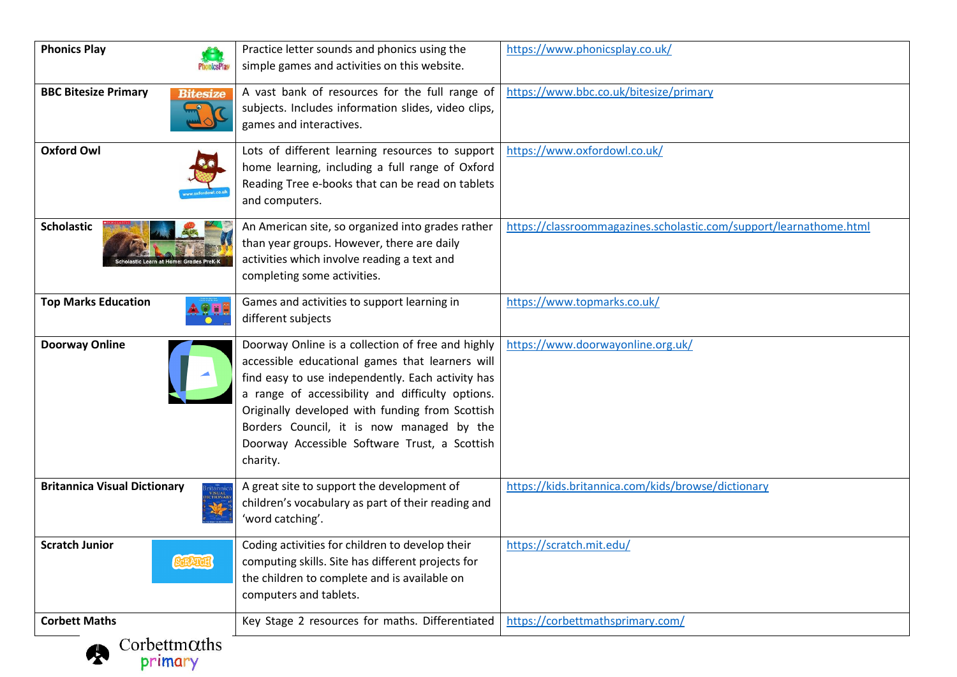| <b>Phonics Play</b>                                                        | Practice letter sounds and phonics using the<br>simple games and activities on this website.                                                                                                                                                                                                                                                                               | https://www.phonicsplay.co.uk/                                     |
|----------------------------------------------------------------------------|----------------------------------------------------------------------------------------------------------------------------------------------------------------------------------------------------------------------------------------------------------------------------------------------------------------------------------------------------------------------------|--------------------------------------------------------------------|
| <b>BBC Bitesize Primary</b><br><b>Bitesize</b>                             | A vast bank of resources for the full range of<br>subjects. Includes information slides, video clips,<br>games and interactives.                                                                                                                                                                                                                                           | https://www.bbc.co.uk/bitesize/primary                             |
| <b>Oxford Owl</b>                                                          | Lots of different learning resources to support<br>home learning, including a full range of Oxford<br>Reading Tree e-books that can be read on tablets<br>and computers.                                                                                                                                                                                                   | https://www.oxfordowl.co.uk/                                       |
| <b>Scholastic</b><br><b>plastic Learn at Home: Grades PreK-K</b>           | An American site, so organized into grades rather<br>than year groups. However, there are daily<br>activities which involve reading a text and<br>completing some activities.                                                                                                                                                                                              | https://classroommagazines.scholastic.com/support/learnathome.html |
| <b>Top Marks Education</b>                                                 | Games and activities to support learning in<br>different subjects                                                                                                                                                                                                                                                                                                          | https://www.topmarks.co.uk/                                        |
| <b>Doorway Online</b>                                                      | Doorway Online is a collection of free and highly<br>accessible educational games that learners will<br>find easy to use independently. Each activity has<br>a range of accessibility and difficulty options.<br>Originally developed with funding from Scottish<br>Borders Council, it is now managed by the<br>Doorway Accessible Software Trust, a Scottish<br>charity. | https://www.doorwayonline.org.uk/                                  |
| <b>Britannica Visual Dictionary</b><br>3ritannic<br>  visual<br>  nctionar | A great site to support the development of<br>children's vocabulary as part of their reading and<br>'word catching'.                                                                                                                                                                                                                                                       | https://kids.britannica.com/kids/browse/dictionary                 |
| <b>Scratch Junior</b><br>SCRATCH                                           | Coding activities for children to develop their<br>computing skills. Site has different projects for<br>the children to complete and is available on<br>computers and tablets.                                                                                                                                                                                             | https://scratch.mit.edu/                                           |
| <b>Corbett Maths</b>                                                       | Key Stage 2 resources for maths. Differentiated                                                                                                                                                                                                                                                                                                                            | https://corbettmathsprimary.com/                                   |
| $Corbett m\alphaths$<br>primary                                            |                                                                                                                                                                                                                                                                                                                                                                            |                                                                    |